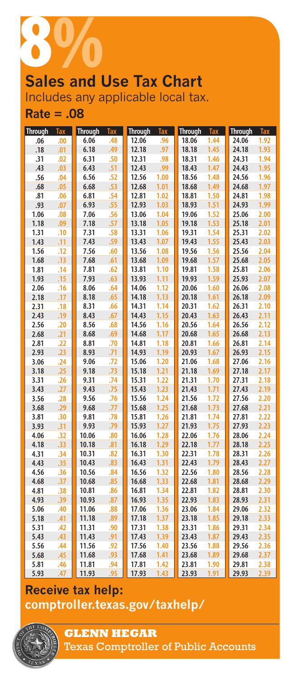

# Includes any applicable local tax.

**Rate = .08**

| <b>Through</b> | <b>Tax</b> | <b>Through</b> | <b>Tax</b> | <b>Through</b> | <b>Tax</b> | <b>Through</b> | Tax  | <b>Through</b> | <b>Tax</b> |
|----------------|------------|----------------|------------|----------------|------------|----------------|------|----------------|------------|
| .06            | .00        | 6.06           | .48        | 12.06          | .96        | 18.06          | 1.44 | 24.06          | 1.92       |
| .18            | .01        | 6.18           | .49        | 12.18          | .97        | 18.18          | 1.45 | 24.18          | 1.93       |
| .31            | .02        | 6.31           | .50        | 12.31          | .98        | 18.31          | 1.46 | 24.31          | 1.94       |
| .43            | .03        | 6.43           | .51        | 12.43          | .99        | 18.43          | 1.47 | 24.43          | 1.95       |
| .56            | .04        | 6.56           | .52        | 12.56          | 1.00       | 18.56          | 1.48 | 24.56          | 1.96       |
| .68            | .05        | 6.68           | .53        | 12.68          | 1.01       | 18.68          | 1.49 | 24.68          | 1.97       |
| .81            | .06        | 6.81           | .54        | 12.81          | 1.02       | 18.81          | 1.50 | 24.81          | 1.98       |
| .93            | .07        | 6.93           | .55        | 12.93          | 1.03       | 18.93          | 1.51 | 24.93          | 1.99       |
| 1.06           | .08        | 7.06           | .56        | 13.06          | 1.04       | 19.06          | 1.52 | 25.06          | 2.00       |
| 1.18           | .09        | 7.18           | .57        | 13.18          | 1.05       | 19.18          | 1.53 | 25.18          | 2.01       |
| 1.31           | .10        | 7.31           | .58        | 13.31          | 1.06       | 19.31          | 1.54 | 25.31          | 2.02       |
| 1.43           | .11        | 7.43           | .59        | 13.43          | 1.07       | 19.43          | 1.55 | 25.43          | 2.03       |
| 1.56           | .12        | 7.56           | .60        | 13.56          | 1.08       | 19.56          | 1.56 | 25.56          | 2.04       |
| 1.68           | .13        | 7.68           | .61        | 13.68          | 1.09       | 19.68          | 1.57 | 25.68          | 2.05       |
| 1.81           | .14        | 7.81           | .62        | 13.81          | 1.10       | 19.81          | 1.58 | 25.81          | 2.06       |
| 1.93           | .15        | 7.93           | .63        | 13.93          | 1.11       | 19.93          | 1.59 | 25.93          | 2.07       |
| 2.06           | .16        | 8.06           | .64        | 14.06          | 1.12       | 20.06          | 1.60 | 26.06          | 2.08       |
| 2.18           | .17        | 8.18           | .65        | 14.18          | 1.13       | 20.18          | 1.61 | 26.18          | 2.09       |
| 2.31           | .18        | 8.31           | .66        | 14.31          | 1.14       | 20.31          | 1.62 | 26.31          | 2.10       |
| 2.43           | .19        | 8.43           | .67        | 14.43          | 1.15       | 20.43          | 1.63 | 26.43          | 2.11       |
| 2.56           | .20        | 8.56           | .68        | 14.56          | 1.16       | 20.56          | 1.64 | 26.56          | 2.12       |
| 2.68           | .21        | 8.68           | .69        | 14.68          | 1.17       | 20.68          | 1.65 | 26.68          | 2.13       |
| 2.81           | .22        | 8.81           | .70        | 14.81          | 1.18       | 20.81          | 1.66 | 26.81          | 2.14       |
| 2.93           | .23        | 8.93           | .71        | 14.93          | 1.19       | 20.93          | 1.67 | 26.93          | 2.15       |
| 3.06           | .24        | 9.06           | .72        | 15.06          | 1.20       | 21.06          | 1.68 | 27.06          | 2.16       |
| 3.18           | .25        | 9.18           | .73        | 15.18          | 1.21       | 21.18          | 1.69 | 27.18          | 2.17       |
| 3.31           | .26        | 9.31           | .74        | 15.31          | 1.22       | 21.31          | 1.70 | 27.31          | 2.18       |
| 3.43           | .27        | 9.43           | .75        | 15.43          | 1.23       | 21.43          | 1.71 | 27.43          | 2.19       |
| 3.56           | .28        | 9.56           | .76        | 15.56          | 1.24       | 21.56          | 1.72 | 27.56          | 2.20       |
| 3.68           | .29        | 9.68           | .77        | 15.68          | 1.25       | 21.68          | 1.73 | 27.68          | 2.21       |
| 3.81           | .30        | 9.81           | .78        | 15.81          | 1.26       | 21.81          | 1.74 | 27.81          | 2.22       |
| 3.93           | .31        | 9.93           | .79        | 15.93          | 1.27       | 21.93          | 1.75 | 27.93          | 2.23       |
| 4.06           | .32        | 10.06          | .80        | 16.06          | 1.28       | 22.06          | 1.76 | 28.06          | 2.24       |
| 4.18           | .33        | 10.18          | .81        | 16.18          | 1.29       | 22.18          | 1.77 | 28.18          | 2.25       |
| 4.31           | .34        | 10.31          | .82        | 16.31          | 1.30       | 22.31          | 1.78 | 28.31          | 2.26       |
| 4.43           | .35        | 10.43          | .83        | 16.43          | 1.31       | 22.43          | 1.79 | 28.43          | 2.27       |
| 4.56           | .36        | 10.56          | .84        | 16.56          | 1.32       | 22.56          | 1.80 | 28.56          | 2.28       |
| 4.68           | .37        | 10.68          | .85        | 16.68          | 1.33       | 22.68          | 1.81 | 28.68          | 2.29       |
| 4.81           | .38        | 10.81          | .86        | 16.81          | 1.34       | 22.81          | 1.82 | 28.81          | 2.30       |
| 4.93           | .39        | 10.93          | .87        | 16.93          | 1.35       | 22.93          | 1.83 | 28.93          | 2.31       |
| 5.06           | .40        | 11.06          | .88        | 17.06          | 1.36       | 23.06          | 1.84 | 29.06          | 2.32       |
| 5.18           | .41        | 11.18          | .89        | 17.18          | 1.37       | 23.18          | 1.85 | 29.18          | 2.33       |
| 5.31           | .42        | 11.31          | .90        | 17.31          | 1.38       | 23.31          | 1.86 | 29.31          | 2.34       |
| 5.43           | .43        | 11.43          | .91        | 17.43          | 1.39       | 23.43          | 1.87 | 29.43          | 2.35       |
| 5.56           | .44        | 11.56          | .92        | 17.56          | 1.40       | 23.56          | 1.88 | 29.56          | 2.36       |
| 5.68           | .45        | 11.68          | .93        | 17.68          | 1.41       | 23.68          | 1.89 | 29.68          | 2.37       |
| 5.81           | .46        | 11.81          | .94        | 17.81          | 1.42       | 23.81          | 1.90 | 29.81          | 2.38       |
| 5.93           | .47        | 11.93          | .95        | 17.93          | 1.43       | 23.93          | 1.91 | 29.93          | 2.39       |

## **Receive tax help: comptroller.texas.gov/taxhelp/**



**GLENN HEGAR**  Texas Comptroller of Public Accounts